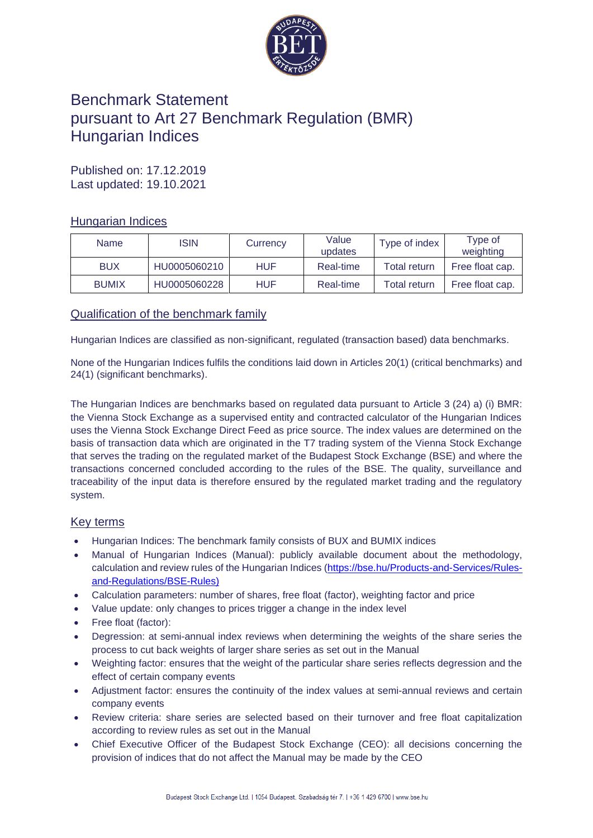

# Benchmark Statement pursuant to Art 27 Benchmark Regulation (BMR) Hungarian Indices

Published on: 17.12.2019 Last updated: 19.10.2021

# Hungarian Indices

| <b>Name</b>  | ISIN         | Currency | Value<br>updates | Type of index | Type of<br>weighting |
|--------------|--------------|----------|------------------|---------------|----------------------|
| <b>BUX</b>   | HU0005060210 | HUF      | Real-time        | Total return  | Free float cap.      |
| <b>BUMIX</b> | HU0005060228 | HUF      | Real-time        | Total return  | Free float cap.      |

# Qualification of the benchmark family

Hungarian Indices are classified as non-significant, regulated (transaction based) data benchmarks.

None of the Hungarian Indices fulfils the conditions laid down in Articles 20(1) (critical benchmarks) and 24(1) (significant benchmarks).

The Hungarian Indices are benchmarks based on regulated data pursuant to Article 3 (24) a) (i) BMR: the Vienna Stock Exchange as a supervised entity and contracted calculator of the Hungarian Indices uses the Vienna Stock Exchange Direct Feed as price source. The index values are determined on the basis of transaction data which are originated in the T7 trading system of the Vienna Stock Exchange that serves the trading on the regulated market of the Budapest Stock Exchange (BSE) and where the transactions concerned concluded according to the rules of the BSE. The quality, surveillance and traceability of the input data is therefore ensured by the regulated market trading and the regulatory system.

## Key terms

- Hungarian Indices: The benchmark family consists of BUX and BUMIX indices
- Manual of Hungarian Indices (Manual): publicly available document about the methodology, calculation and review rules of the Hungarian Indices [\(https://bse.hu/Products-and-Services/Rules](https://bse.hu/Products-and-Services/Rules-and-Regulations/BSE-Rules)[and-Regulations/BSE-Rules\)](https://bse.hu/Products-and-Services/Rules-and-Regulations/BSE-Rules)
- Calculation parameters: number of shares, free float (factor), weighting factor and price
- Value update: only changes to prices trigger a change in the index level
- Free float (factor):
- Degression: at semi-annual index reviews when determining the weights of the share series the process to cut back weights of larger share series as set out in the Manual
- Weighting factor: ensures that the weight of the particular share series reflects degression and the effect of certain company events
- Adjustment factor: ensures the continuity of the index values at semi-annual reviews and certain company events
- Review criteria: share series are selected based on their turnover and free float capitalization according to review rules as set out in the Manual
- Chief Executive Officer of the Budapest Stock Exchange (CEO): all decisions concerning the provision of indices that do not affect the Manual may be made by the CEO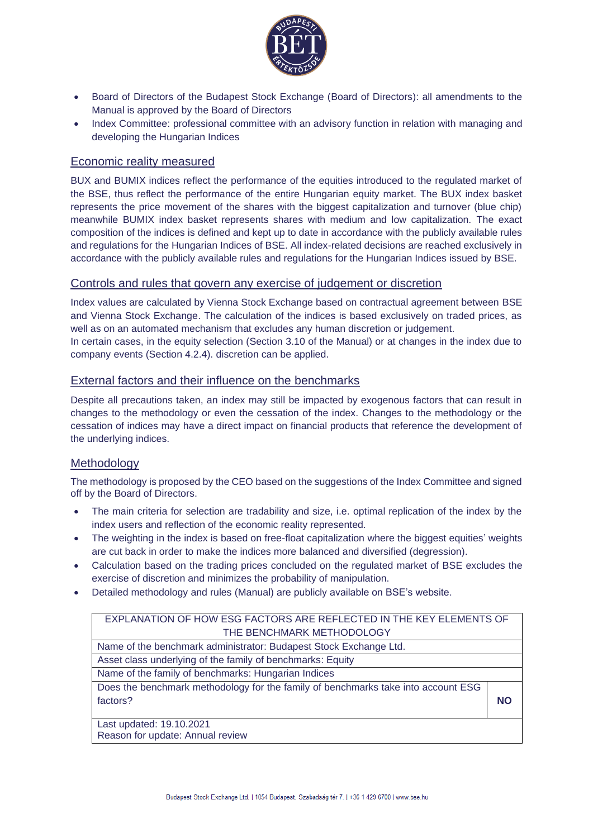

- Board of Directors of the Budapest Stock Exchange (Board of Directors): all amendments to the Manual is approved by the Board of Directors
- Index Committee: professional committee with an advisory function in relation with managing and developing the Hungarian Indices

## Economic reality measured

BUX and BUMIX indices reflect the performance of the equities introduced to the regulated market of the BSE, thus reflect the performance of the entire Hungarian equity market. The BUX index basket represents the price movement of the shares with the biggest capitalization and turnover (blue chip) meanwhile BUMIX index basket represents shares with medium and low capitalization. The exact composition of the indices is defined and kept up to date in accordance with the publicly available rules and regulations for the Hungarian Indices of BSE. All index-related decisions are reached exclusively in accordance with the publicly available rules and regulations for the Hungarian Indices issued by BSE.

## Controls and rules that govern any exercise of judgement or discretion

Index values are calculated by Vienna Stock Exchange based on contractual agreement between BSE and Vienna Stock Exchange. The calculation of the indices is based exclusively on traded prices, as well as on an automated mechanism that excludes any human discretion or judgement.

In certain cases, in the equity selection (Section 3.10 of the Manual) or at changes in the index due to company events (Section 4.2.4). discretion can be applied.

## External factors and their influence on the benchmarks

Despite all precautions taken, an index may still be impacted by exogenous factors that can result in changes to the methodology or even the cessation of the index. Changes to the methodology or the cessation of indices may have a direct impact on financial products that reference the development of the underlying indices.

#### **Methodology**

The methodology is proposed by the CEO based on the suggestions of the Index Committee and signed off by the Board of Directors.

- The main criteria for selection are tradability and size, i.e. optimal replication of the index by the index users and reflection of the economic reality represented.
- The weighting in the index is based on free-float capitalization where the biggest equities' weights are cut back in order to make the indices more balanced and diversified (degression).
- Calculation based on the trading prices concluded on the regulated market of BSE excludes the exercise of discretion and minimizes the probability of manipulation.
- Detailed methodology and rules (Manual) are publicly available on BSE's website.

# EXPLANATION OF HOW ESG FACTORS ARE REFLECTED IN THE KEY ELEMENTS OF THE BENCHMARK METHODOLOGY

Name of the benchmark administrator: Budapest Stock Exchange Ltd.

Asset class underlying of the family of benchmarks: Equity Name of the family of benchmarks: Hungarian Indices

Does the benchmark methodology for the family of benchmarks take into account ESG factors? **NO**

Last updated: 19.10.2021 Reason for update: Annual review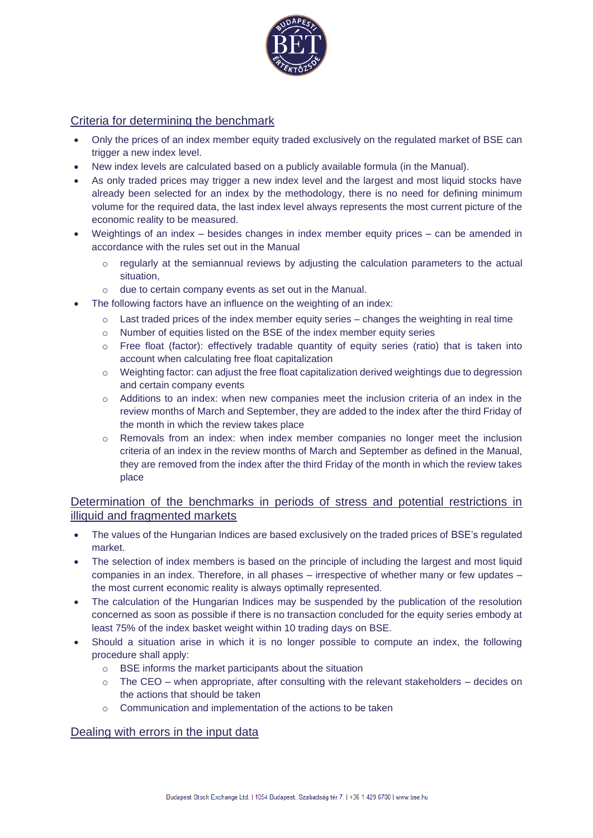

# Criteria for determining the benchmark

- Only the prices of an index member equity traded exclusively on the regulated market of BSE can trigger a new index level.
- New index levels are calculated based on a publicly available formula (in the Manual).
- As only traded prices may trigger a new index level and the largest and most liquid stocks have already been selected for an index by the methodology, there is no need for defining minimum volume for the required data, the last index level always represents the most current picture of the economic reality to be measured.
- Weightings of an index besides changes in index member equity prices can be amended in accordance with the rules set out in the Manual
	- o regularly at the semiannual reviews by adjusting the calculation parameters to the actual situation,
	- o due to certain company events as set out in the Manual.
- The following factors have an influence on the weighting of an index:
	- $\circ$  Last traded prices of the index member equity series changes the weighting in real time
	- o Number of equities listed on the BSE of the index member equity series
	- $\circ$  Free float (factor): effectively tradable quantity of equity series (ratio) that is taken into account when calculating free float capitalization
	- o Weighting factor: can adjust the free float capitalization derived weightings due to degression and certain company events
	- $\circ$  Additions to an index: when new companies meet the inclusion criteria of an index in the review months of March and September, they are added to the index after the third Friday of the month in which the review takes place
	- o Removals from an index: when index member companies no longer meet the inclusion criteria of an index in the review months of March and September as defined in the Manual, they are removed from the index after the third Friday of the month in which the review takes place

# Determination of the benchmarks in periods of stress and potential restrictions in illiquid and fragmented markets

- The values of the Hungarian Indices are based exclusively on the traded prices of BSE's regulated market.
- The selection of index members is based on the principle of including the largest and most liquid companies in an index. Therefore, in all phases – irrespective of whether many or few updates – the most current economic reality is always optimally represented.
- The calculation of the Hungarian Indices may be suspended by the publication of the resolution concerned as soon as possible if there is no transaction concluded for the equity series embody at least 75% of the index basket weight within 10 trading days on BSE.
- Should a situation arise in which it is no longer possible to compute an index, the following procedure shall apply:
	- o BSE informs the market participants about the situation
	- $\circ$  The CEO when appropriate, after consulting with the relevant stakeholders decides on the actions that should be taken
	- o Communication and implementation of the actions to be taken

## Dealing with errors in the input data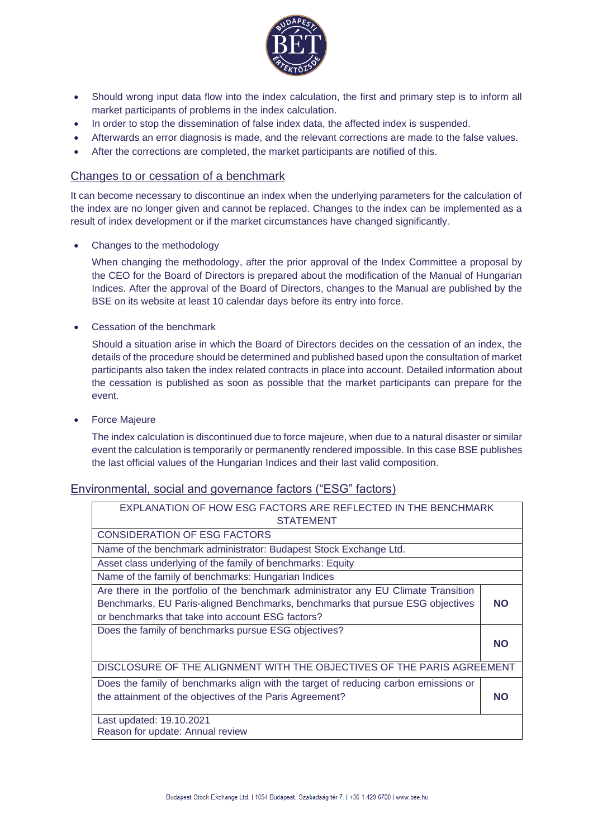

- Should wrong input data flow into the index calculation, the first and primary step is to inform all market participants of problems in the index calculation.
- In order to stop the dissemination of false index data, the affected index is suspended.
- Afterwards an error diagnosis is made, and the relevant corrections are made to the false values.
- After the corrections are completed, the market participants are notified of this.

#### Changes to or cessation of a benchmark

It can become necessary to discontinue an index when the underlying parameters for the calculation of the index are no longer given and cannot be replaced. Changes to the index can be implemented as a result of index development or if the market circumstances have changed significantly.

• Changes to the methodology

When changing the methodology, after the prior approval of the Index Committee a proposal by the CEO for the Board of Directors is prepared about the modification of the Manual of Hungarian Indices. After the approval of the Board of Directors, changes to the Manual are published by the BSE on its website at least 10 calendar days before its entry into force.

• Cessation of the benchmark

Should a situation arise in which the Board of Directors decides on the cessation of an index, the details of the procedure should be determined and published based upon the consultation of market participants also taken the index related contracts in place into account. Detailed information about the cessation is published as soon as possible that the market participants can prepare for the event.

• Force Majeure

The index calculation is discontinued due to force majeure, when due to a natural disaster or similar event the calculation is temporarily or permanently rendered impossible. In this case BSE publishes the last official values of the Hungarian Indices and their last valid composition.

#### Environmental, social and governance factors ("ESG" factors)

| EXPLANATION OF HOW ESG FACTORS ARE REFLECTED IN THE BENCHMARK<br><b>STATEMENT</b>                                                                                                                                          |           |  |  |  |
|----------------------------------------------------------------------------------------------------------------------------------------------------------------------------------------------------------------------------|-----------|--|--|--|
| <b>CONSIDERATION OF ESG FACTORS</b>                                                                                                                                                                                        |           |  |  |  |
| Name of the benchmark administrator: Budapest Stock Exchange Ltd.                                                                                                                                                          |           |  |  |  |
| Asset class underlying of the family of benchmarks: Equity                                                                                                                                                                 |           |  |  |  |
| Name of the family of benchmarks: Hungarian Indices                                                                                                                                                                        |           |  |  |  |
| Are there in the portfolio of the benchmark administrator any EU Climate Transition<br>Benchmarks, EU Paris-aligned Benchmarks, benchmarks that pursue ESG objectives<br>or benchmarks that take into account ESG factors? | <b>NO</b> |  |  |  |
| Does the family of benchmarks pursue ESG objectives?                                                                                                                                                                       | <b>NO</b> |  |  |  |
| DISCLOSURE OF THE ALIGNMENT WITH THE OBJECTIVES OF THE PARIS AGREEMENT                                                                                                                                                     |           |  |  |  |
| Does the family of benchmarks align with the target of reducing carbon emissions or<br>the attainment of the objectives of the Paris Agreement?                                                                            | <b>NO</b> |  |  |  |
| Last updated: 19.10.2021<br>Reason for update: Annual review                                                                                                                                                               |           |  |  |  |